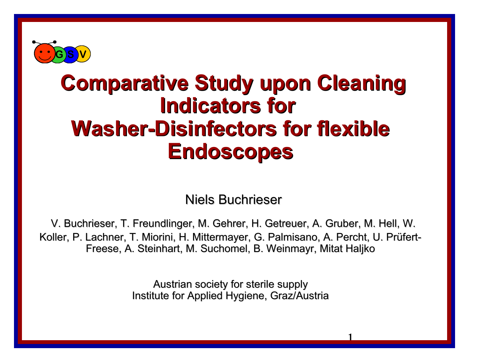

### **Comparative Study upon Cleaning Indicators for Washer-Disinfectors for flexible Endoscopes**

Niels Buchrieser

V. Buchrieser, T. Freundlinger, M. Gehrer, H. Getreuer, A. Gruber, M. Hell, W. Koller, P. Lachner, T. Miorini, H. Mittermayer, G. Palmisano, A. Percht, U. Prüfert-Freese, A. Steinhart, M. Suchomel, B. Weinmayr, Mitat Haljko

> Austrian society for sterile supply Institute for Applied Hygiene, Graz/Austria

> > 1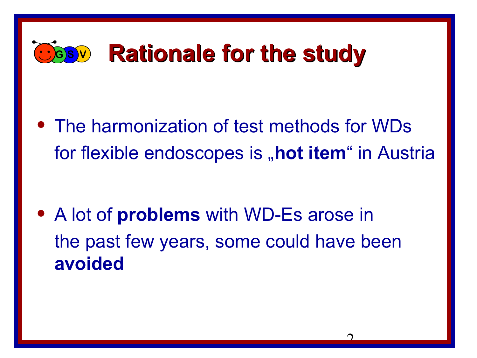## **GBV Rationale for the study**

• The harmonization of test methods for WDs for flexible endoscopes is **"hot item**" in Austria

• A lot of **problems** with WD-Es arose in the past few years, some could have been **avoided**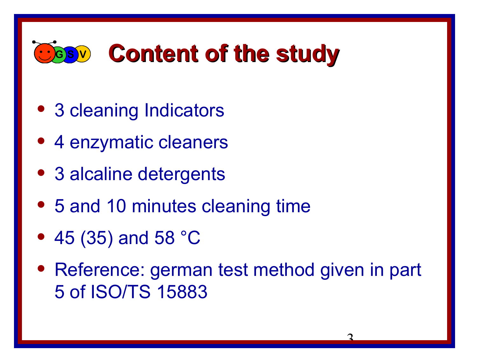## **GBV** Content of the study

- 3 cleaning Indicators
- 4 enzymatic cleaners
- 3 alcaline detergents
- 5 and 10 minutes cleaning time
- 45 (35) and 58 °C
- Reference: german test method given in part 5 of ISO/TS 15883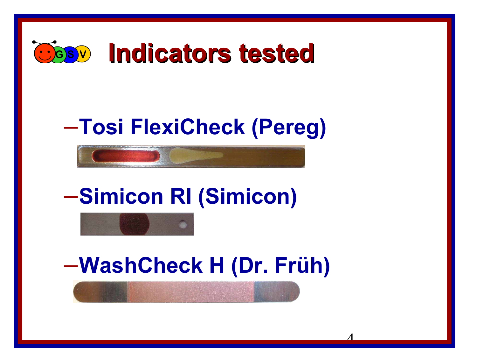

### –**Tosi FlexiCheck (Pereg)**

–**Simicon RI (Simicon)**



–**WashCheck H (Dr. Früh)**

4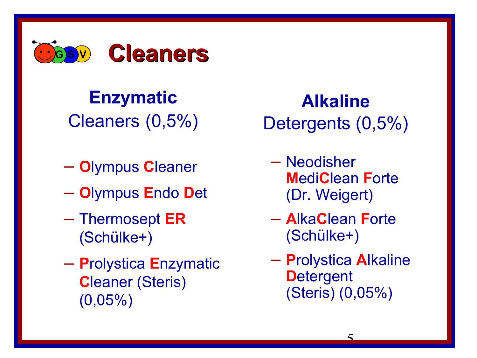

#### **Enzymatic** Cleaners (0,5%)

- **O**lympus **C**leaner
- **O**lympus **E**ndo **D**et
- Thermosept **ER** (Schülke+)
- **P**rolystica **E**nzymatic **C**leaner (Steris) (0,05%)

**Alkaline** Detergents (0,5%)

- Neodisher **M**edi**C**lean **F**orte (Dr. Weigert)
- **A**lka**C**lean **F**orte (Schülke+)
- **P**rolystica **A**lkaline **D**etergent (Steris) (0,05%)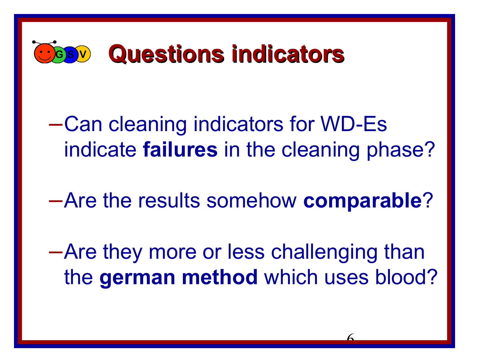

–Can cleaning indicators for WD-Es indicate **failures** in the cleaning phase?

–Are the results somehow **comparable**?

–Are they more or less challenging than the **german method** which uses blood?

6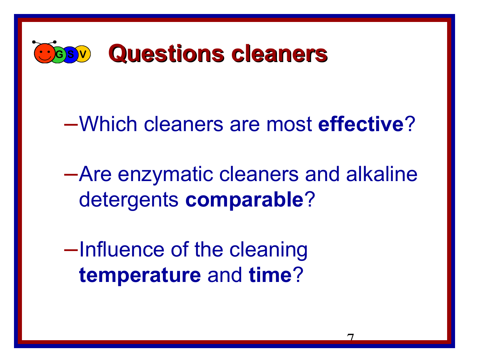

### –Which cleaners are most **effective**?

–Are enzymatic cleaners and alkaline detergents **comparable**?

–Influence of the cleaning **temperature** and **time**?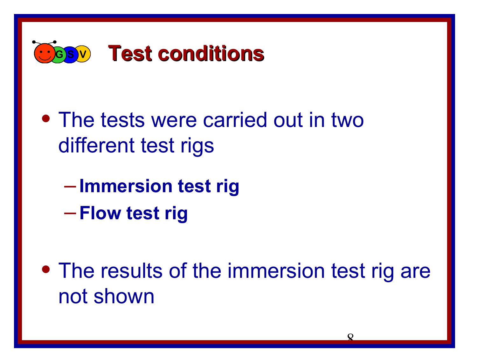

- The tests were carried out in two different test rigs
	- **Immersion test rig**
	- **Flow test rig**
- The results of the immersion test rig are not shown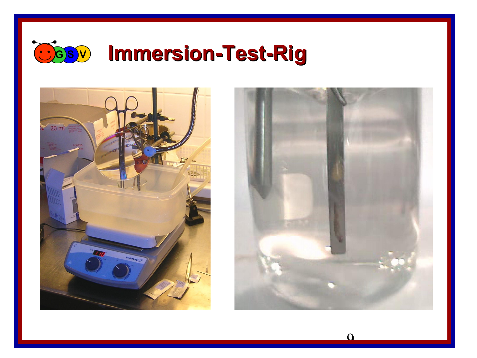





 $\Omega$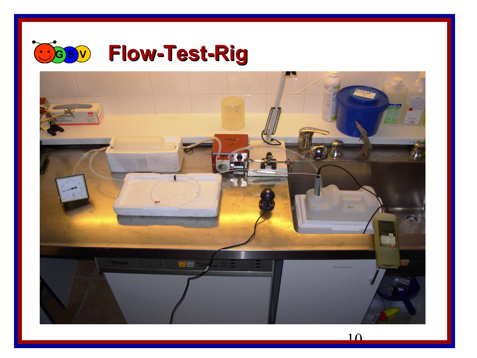

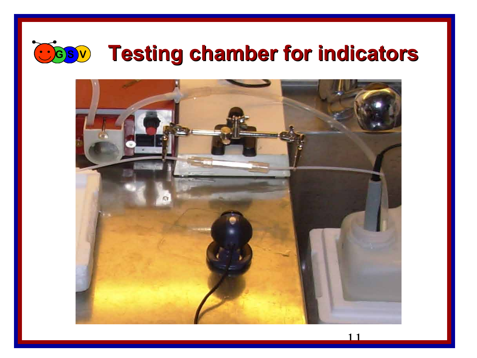

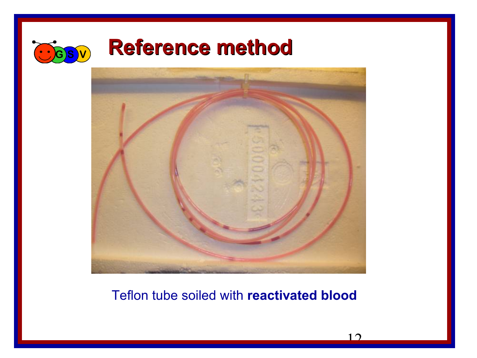

#### $\bigcirc$  *G***<sub>SV</sub> Reference method**



#### Teflon tube soiled with **reactivated blood**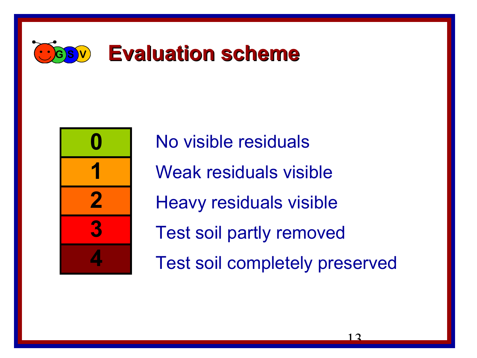



No visible residuals Weak residuals visible Heavy residuals visible Test soil partly removed Test soil completely preserved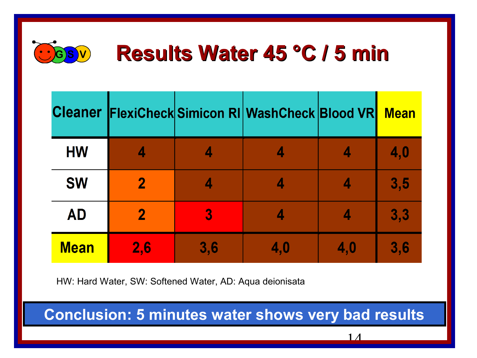

| <b>Cleaner</b> |             |                | <b>FlexiCheck Simicon RI WashCheck Blood VR</b> |     | <b>Mean</b> |
|----------------|-------------|----------------|-------------------------------------------------|-----|-------------|
| <b>HW</b>      | 4           |                |                                                 |     | 4,0         |
| <b>SW</b>      | $\mathbf 2$ |                |                                                 | 4   | 3,5         |
| <b>AD</b>      | $\mathbf 2$ | $\overline{3}$ |                                                 | 4   | 3,3         |
| <b>Mean</b>    | 2,6         | 3,6            | 4,0                                             | 4,0 | 3,6         |

HW: Hard Water, SW: Softened Water, AD: Aqua deionisata

**Conclusion: 5 minutes water shows very bad results**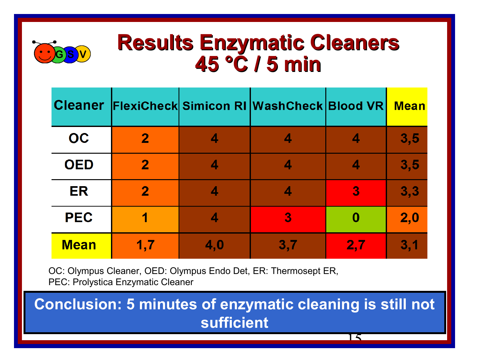

#### **Results Enzymatic Cleaners 45 °C / 5 min**

| <b>Cleaner</b> |             |     | <b>FlexiCheck Simicon RI WashCheck Blood VR</b> |                  | <b>Mean</b> |
|----------------|-------------|-----|-------------------------------------------------|------------------|-------------|
| OC             | $\mathbf 2$ |     |                                                 |                  | 3, 5        |
| <b>OED</b>     | $\mathbf 2$ |     |                                                 |                  | 3, 5        |
| ER             | $\mathbf 2$ |     | 4                                               | $\boldsymbol{3}$ | 3,3         |
| <b>PEC</b>     |             |     | 3                                               | 0                | 2,0         |
| <b>Mean</b>    | 1,7         | 4,0 | 3,7                                             | 2,7              | 3,1         |

OC: Olympus Cleaner, OED: Olympus Endo Det, ER: Thermosept ER, PEC: Prolystica Enzymatic Cleaner

**Conclusion: 5 minutes of enzymatic cleaning is still not sufficient**

15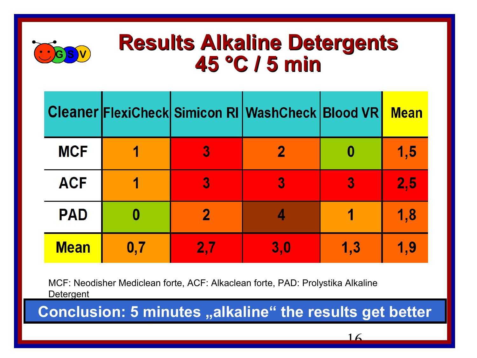

#### **Results Alkaline Detergents 45 °C / 5 min**

|             |     |     | <b>Cleaner FlexiCheck Simicon RI WashCheck Blood VR</b> |     | <b>Mean</b> |
|-------------|-----|-----|---------------------------------------------------------|-----|-------------|
| <b>MCF</b>  |     | 3   |                                                         |     | 1,5         |
| <b>ACF</b>  |     | 3   | 3                                                       | 3   | 2,5         |
| <b>PAD</b>  |     | 2   |                                                         |     | 1,8         |
| <b>Mean</b> | 0.7 | 2.7 | 3,0                                                     | 1,3 | 1,9         |

MCF: Neodisher Mediclean forte, ACF: Alkaclean forte, PAD: Prolystika Alkaline **Detergent** 

Conclusion: 5 minutes "alkaline" the results get better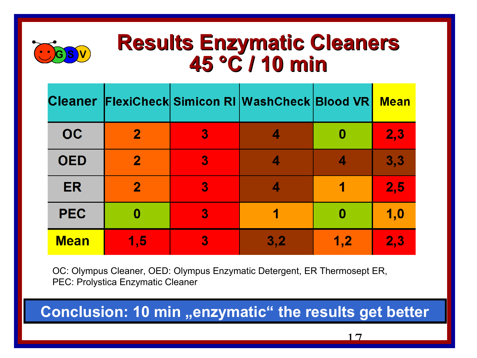

### **<sup>G</sup> <sup>S</sup> <sup>V</sup> Results Enzymatic Cleaners 45 °C / 10 min**

|             |              |   | Cleaner FlexiCheck Simicon RI WashCheck Blood VR |     | <b>Mean</b> |
|-------------|--------------|---|--------------------------------------------------|-----|-------------|
| <b>OC</b>   | $\mathbf{2}$ | 3 |                                                  | 0   | 2,3         |
| <b>OED</b>  | $\mathbf{2}$ | 3 |                                                  | 4   | 3,3         |
| ER          | $\mathbf{2}$ | 3 |                                                  |     | 2,5         |
| <b>PEC</b>  | 0            | 3 |                                                  | 0   | 1,0         |
| <b>Mean</b> | 1,5          | 3 | 3,2                                              | 1,2 | 2,3         |

OC: Olympus Cleaner, OED: Olympus Enzymatic Detergent, ER Thermosept ER, PEC: Prolystica Enzymatic Cleaner

**Conclusion: 10 min "enzymatic" the results get better**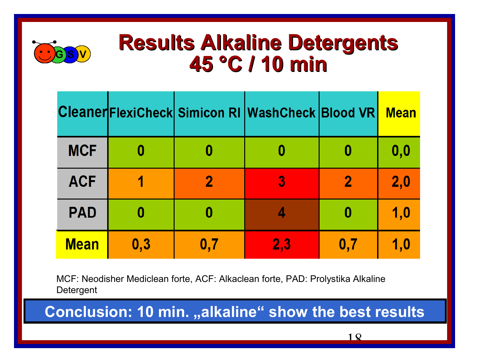

#### **Results Alkaline Detergents 45 °C / 10 min**

|             |     |     | Cleaner FlexiCheck Simicon RI Wash Check Blood VR |                | <b>Mean</b> |
|-------------|-----|-----|---------------------------------------------------|----------------|-------------|
| <b>MCF</b>  |     |     |                                                   |                | 0,0         |
| <b>ACF</b>  |     | 2   | 3                                                 | $\mathbf{2}$   | 2,0         |
| <b>PAD</b>  |     |     |                                                   |                | 1,0         |
| <b>Mean</b> | 0,3 | 0,7 | 2,3                                               | $\mathbf{0.7}$ | 1,0         |

MCF: Neodisher Mediclean forte, ACF: Alkaclean forte, PAD: Prolystika Alkaline **Detergent** 

**Conclusion: 10 min. "alkaline" show the best results**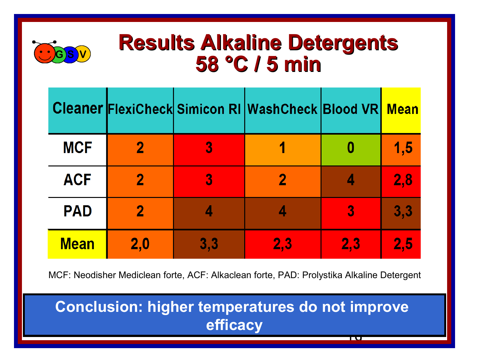

#### **Results Alkaline Detergents 58 °C / 5 min**

|             |     |     | <b>Cleaner FlexiCheck Simicon RI WashCheck Blood VR</b> |                | <b>Mean</b> |
|-------------|-----|-----|---------------------------------------------------------|----------------|-------------|
| <b>MCF</b>  | 2   | 3   |                                                         |                | 1,5         |
| <b>ACF</b>  |     | 3   |                                                         |                | 2,8         |
| <b>PAD</b>  | 2   |     |                                                         | $\overline{3}$ | 3,3         |
| <b>Mean</b> | 2,0 | 3,3 | 2,3                                                     | 2,3            | 2,5         |

MCF: Neodisher Mediclean forte, ACF: Alkaclean forte, PAD: Prolystika Alkaline Detergent

#### 19 **Conclusion: higher temperatures do not improve efficacy**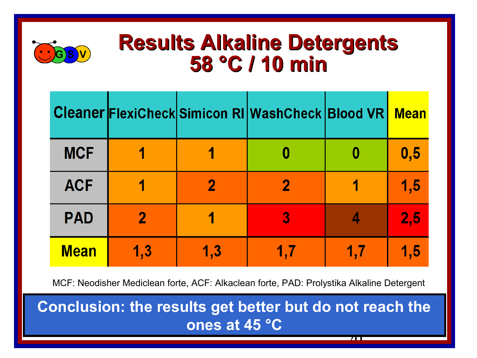

#### **Results Alkaline Detergents 58 °C / 10 min**

|             |          |     | <b>Cleaner FlexiCheck Simicon RI WashCheck Blood VR</b> |     | <b>Mean</b> |
|-------------|----------|-----|---------------------------------------------------------|-----|-------------|
| <b>MCF</b>  |          |     |                                                         |     | 0,5         |
| <b>ACF</b>  |          |     |                                                         |     | 1,5         |
| <b>PAD</b>  | $\bf{2}$ |     | 3                                                       |     | 2,5         |
| <b>Mean</b> | 1,3      | 1.3 |                                                         | 1.7 | 1,5         |

MCF: Neodisher Mediclean forte, ACF: Alkaclean forte, PAD: Prolystika Alkaline Detergent

20 **Conclusion: the results get better but do not reach the ones at 45 °C**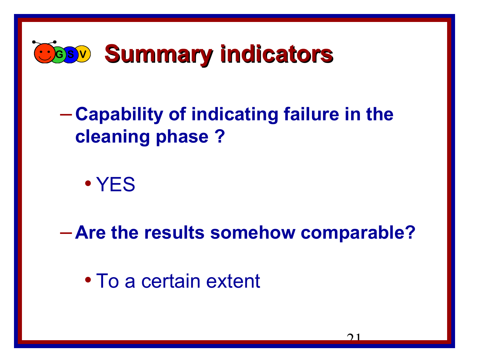

#### – **Capability of indicating failure in the cleaning phase ?**

• YES

– **Are the results somehow comparable?**

• To a certain extent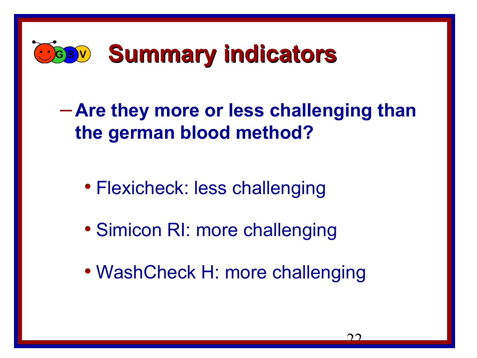

– **Are they more or less challenging than the german blood method?**

- Flexicheck: less challenging
- Simicon RI: more challenging
- WashCheck H: more challenging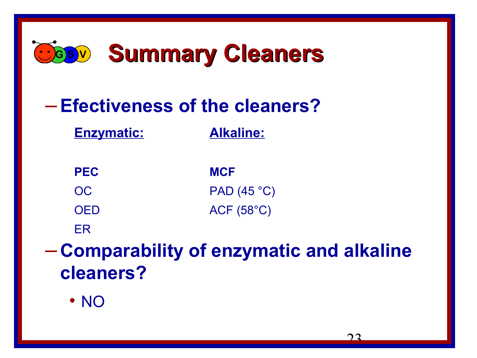

#### –**Efectiveness of the cleaners?**

**Enzymatic: Alkaline:**

| <b>PEC</b> | <b>MCF</b>         |
|------------|--------------------|
| OC.        | PAD(45 °C)         |
| <b>OED</b> | $ACF(58^{\circ}C)$ |

ER

– **Comparability of enzymatic and alkaline cleaners?**

• NO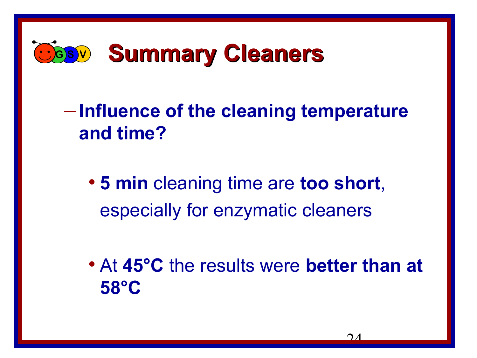

– **Influence of the cleaning temperature and time?**

• **5 min** cleaning time are **too short**, especially for enzymatic cleaners

• At **45°C** the results were **better than at 58°C**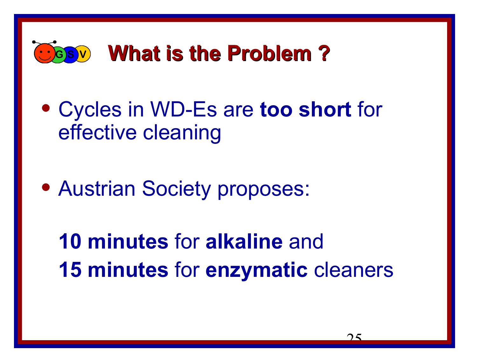

- Cycles in WD-Es are **too short** for effective cleaning
- Austrian Society proposes:

**10 minutes** for **alkaline** and **15 minutes** for **enzymatic** cleaners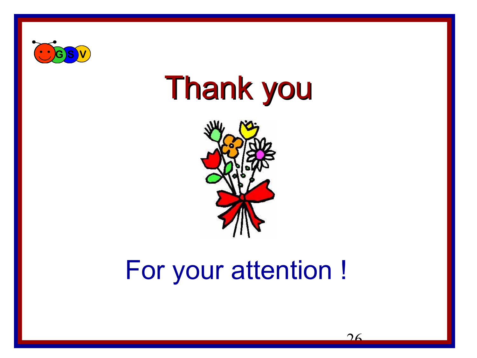

# Thank you



### For your attention !

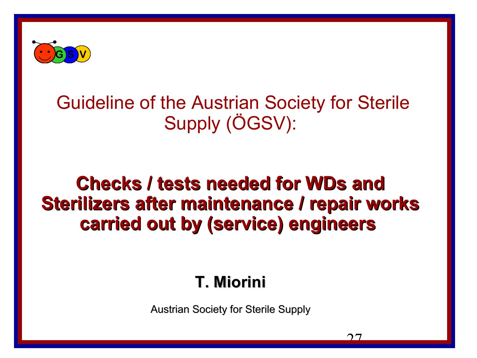

#### Guideline of the Austrian Society for Sterile Supply (ÖGSV):

#### **Checks / tests needed for WDs and Sterilizers after maintenance / repair works carried out by (service) engineers**

#### **T. Miorini**

Austrian Society for Sterile Supply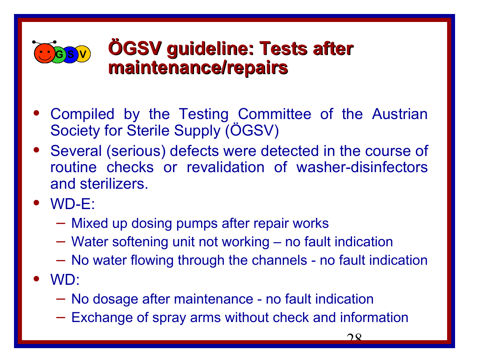

#### **GBV ÖGSV** guideline: Tests after **maintenance/repairs**

- Compiled by the Testing Committee of the Austrian Society for Sterile Supply (ÖGSV)
- Several (serious) defects were detected in the course of routine checks or revalidation of washer-disinfectors and sterilizers.
- WD-E:
	- Mixed up dosing pumps after repair works
	- Water softening unit not working no fault indication
	- No water flowing through the channels no fault indication
- WD:
	- No dosage after maintenance no fault indication
	- Exchange of spray arms without check and information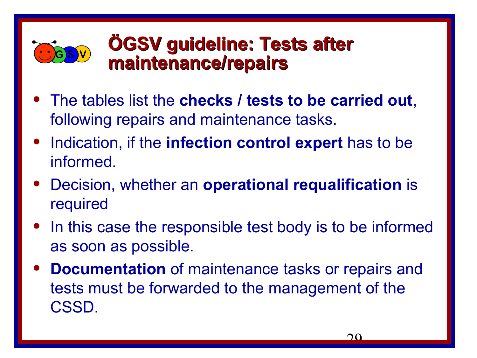

#### **<sup>G</sup> <sup>S</sup> <sup>V</sup> ÖGSV guideline: Tests after maintenance/repairs**

- The tables list the **checks / tests to be carried out**, following repairs and maintenance tasks.
- Indication, if the **infection control expert** has to be informed.
- Decision, whether an **operational requalification** is required
- In this case the responsible test body is to be informed as soon as possible.
- **Documentation** of maintenance tasks or repairs and tests must be forwarded to the management of the CSSD.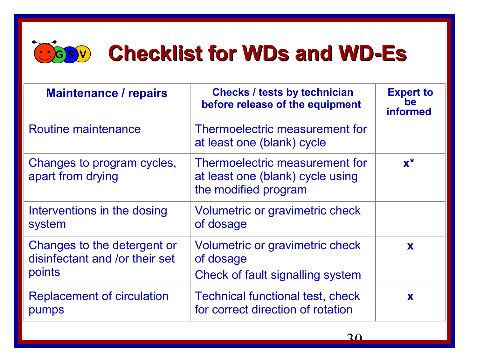

### **GBV** Checklist for WDs and WD-Es

| <b>Maintenance / repairs</b>                                            | <b>Checks / tests by technician</b><br>before release of the equipment                     | <b>Expert to</b><br>be<br><b>informed</b> |
|-------------------------------------------------------------------------|--------------------------------------------------------------------------------------------|-------------------------------------------|
| Routine maintenance                                                     | Thermoelectric measurement for<br>at least one (blank) cycle                               |                                           |
| Changes to program cycles,<br>apart from drying                         | Thermoelectric measurement for<br>at least one (blank) cycle using<br>the modified program | $\mathbf{x}^*$                            |
| Interventions in the dosing<br>system                                   | Volumetric or gravimetric check<br>of dosage                                               |                                           |
| Changes to the detergent or<br>disinfectant and /or their set<br>points | Volumetric or gravimetric check<br>of dosage<br>Check of fault signalling system           | X                                         |
| <b>Replacement of circulation</b><br>pumps                              | <b>Technical functional test, check</b><br>for correct direction of rotation               | X                                         |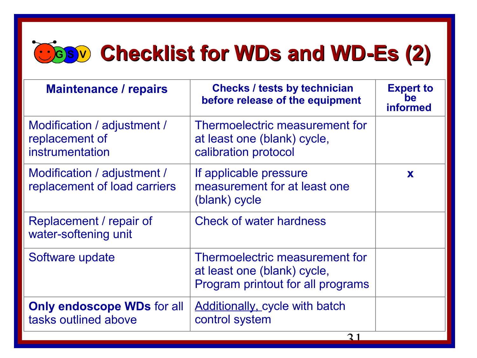### **<sup>G</sup> <sup>S</sup> <sup>V</sup> Checklist for WDs and WD-Es (2)**

| <b>Maintenance / repairs</b>                                     | <b>Checks / tests by technician</b><br>before release of the equipment                             | <b>Expert to</b><br>he<br><b>informed</b> |
|------------------------------------------------------------------|----------------------------------------------------------------------------------------------------|-------------------------------------------|
| Modification / adjustment /<br>replacement of<br>instrumentation | Thermoelectric measurement for<br>at least one (blank) cycle,<br>calibration protocol              |                                           |
| Modification / adjustment /<br>replacement of load carriers      | If applicable pressure<br>measurement for at least one<br>(blank) cycle                            | X                                         |
| Replacement / repair of<br>water-softening unit                  | <b>Check of water hardness</b>                                                                     |                                           |
| Software update                                                  | Thermoelectric measurement for<br>at least one (blank) cycle,<br>Program printout for all programs |                                           |
| <b>Only endoscope WDs for all</b><br>tasks outlined above        | <b>Additionally, cycle with batch</b><br>control system                                            |                                           |
|                                                                  | $\mathbf{\Omega}$ 1                                                                                |                                           |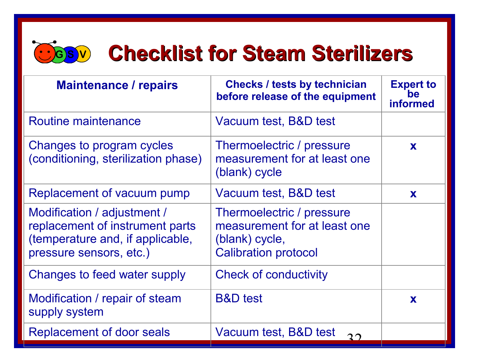

### **GBV** Checklist for Steam Sterilizers

| <b>Maintenance / repairs</b>                                                                                                  | <b>Checks / tests by technician</b><br>before release of the equipment                                     | <b>Expert to</b><br>ne<br><b>informed</b> |
|-------------------------------------------------------------------------------------------------------------------------------|------------------------------------------------------------------------------------------------------------|-------------------------------------------|
| Routine maintenance                                                                                                           | Vacuum test, B&D test                                                                                      |                                           |
| Changes to program cycles<br>(conditioning, sterilization phase)                                                              | Thermoelectric / pressure<br>measurement for at least one<br>(blank) cycle                                 | X                                         |
| Replacement of vacuum pump                                                                                                    | Vacuum test, B&D test                                                                                      | X                                         |
| Modification / adjustment /<br>replacement of instrument parts<br>(temperature and, if applicable,<br>pressure sensors, etc.) | Thermoelectric / pressure<br>measurement for at least one<br>(blank) cycle,<br><b>Calibration protocol</b> |                                           |
| Changes to feed water supply                                                                                                  | <b>Check of conductivity</b>                                                                               |                                           |
| Modification / repair of steam<br>supply system                                                                               | <b>B&amp;D</b> test                                                                                        | X                                         |
| Replacement of door seals                                                                                                     | Vacuum test, B&D test<br>$2^{\circ}$                                                                       |                                           |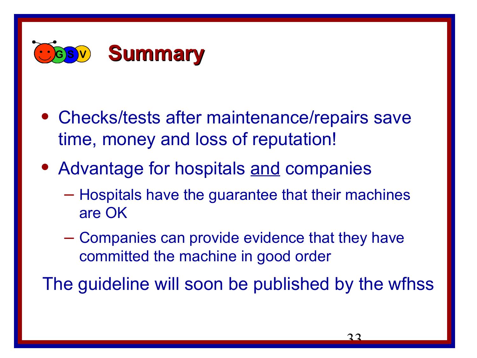

- Checks/tests after maintenance/repairs save time, money and loss of reputation!
- Advantage for hospitals and companies
	- Hospitals have the guarantee that their machines are OK
	- Companies can provide evidence that they have committed the machine in good order

The guideline will soon be published by the wfhss